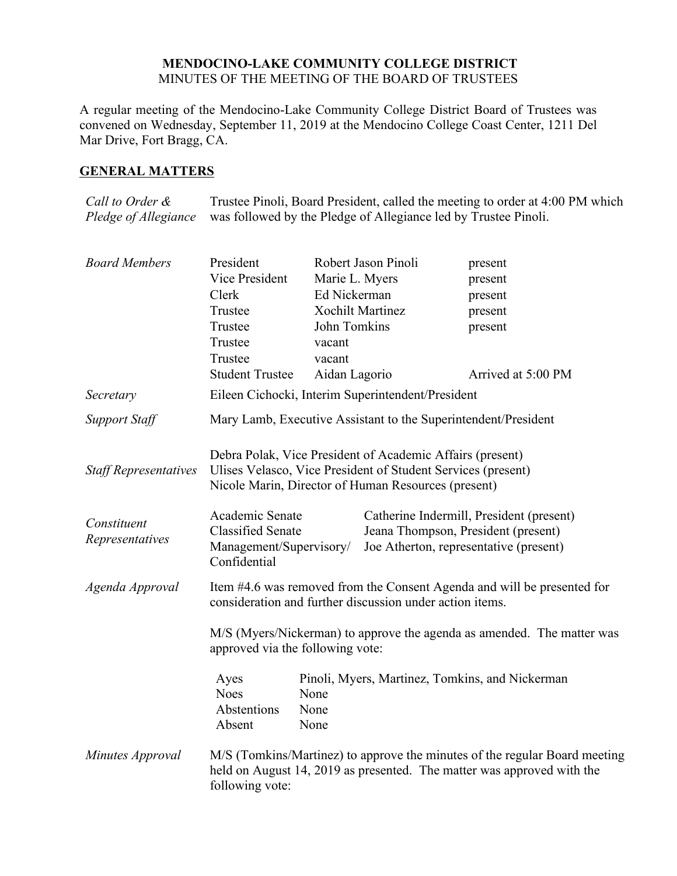# **MENDOCINO-LAKE COMMUNITY COLLEGE DISTRICT** MINUTES OF THE MEETING OF THE BOARD OF TRUSTEES

A regular meeting of the Mendocino-Lake Community College District Board of Trustees was convened on Wednesday, September 11, 2019 at the Mendocino College Coast Center, 1211 Del Mar Drive, Fort Bragg, CA.

# **GENERAL MATTERS**

*Call to Order & Pledge of Allegiance* Trustee Pinoli, Board President, called the meeting to order at 4:00 PM which was followed by the Pledge of Allegiance led by Trustee Pinoli.

| <b>Board Members</b>         | President                                                                                                                                                                        |                         | Robert Jason Pinoli | present                                                                    |  |
|------------------------------|----------------------------------------------------------------------------------------------------------------------------------------------------------------------------------|-------------------------|---------------------|----------------------------------------------------------------------------|--|
|                              | Vice President                                                                                                                                                                   | Marie L. Myers          |                     | present                                                                    |  |
|                              | Clerk                                                                                                                                                                            | Ed Nickerman            |                     | present                                                                    |  |
|                              | Trustee                                                                                                                                                                          | <b>Xochilt Martinez</b> |                     | present                                                                    |  |
|                              | Trustee                                                                                                                                                                          | John Tomkins            |                     | present                                                                    |  |
|                              | Trustee<br>Trustee                                                                                                                                                               | vacant                  |                     |                                                                            |  |
|                              | <b>Student Trustee</b>                                                                                                                                                           | vacant<br>Aidan Lagorio |                     | Arrived at 5:00 PM                                                         |  |
|                              |                                                                                                                                                                                  |                         |                     |                                                                            |  |
| Secretary                    | Eileen Cichocki, Interim Superintendent/President                                                                                                                                |                         |                     |                                                                            |  |
| <b>Support Staff</b>         | Mary Lamb, Executive Assistant to the Superintendent/President                                                                                                                   |                         |                     |                                                                            |  |
| <b>Staff Representatives</b> | Debra Polak, Vice President of Academic Affairs (present)<br>Ulises Velasco, Vice President of Student Services (present)<br>Nicole Marin, Director of Human Resources (present) |                         |                     |                                                                            |  |
|                              |                                                                                                                                                                                  |                         |                     |                                                                            |  |
| Constituent                  | Academic Senate                                                                                                                                                                  |                         |                     | Catherine Indermill, President (present)                                   |  |
| Representatives              | <b>Classified Senate</b><br>Jeana Thompson, President (present)<br>Joe Atherton, representative (present)<br>Management/Supervisory/                                             |                         |                     |                                                                            |  |
|                              | Confidential                                                                                                                                                                     |                         |                     |                                                                            |  |
| Agenda Approval              | Item #4.6 was removed from the Consent Agenda and will be presented for<br>consideration and further discussion under action items.                                              |                         |                     |                                                                            |  |
|                              | M/S (Myers/Nickerman) to approve the agenda as amended. The matter was<br>approved via the following vote:                                                                       |                         |                     |                                                                            |  |
|                              | Ayes                                                                                                                                                                             |                         |                     | Pinoli, Myers, Martinez, Tomkins, and Nickerman                            |  |
|                              | <b>Noes</b>                                                                                                                                                                      | None                    |                     |                                                                            |  |
|                              | Abstentions<br>Absent                                                                                                                                                            | None<br>None            |                     |                                                                            |  |
| Minutes Approval             |                                                                                                                                                                                  |                         |                     | M/S (Tomkins/Martinez) to approve the minutes of the regular Board meeting |  |
|                              | following vote:                                                                                                                                                                  |                         |                     | held on August 14, 2019 as presented. The matter was approved with the     |  |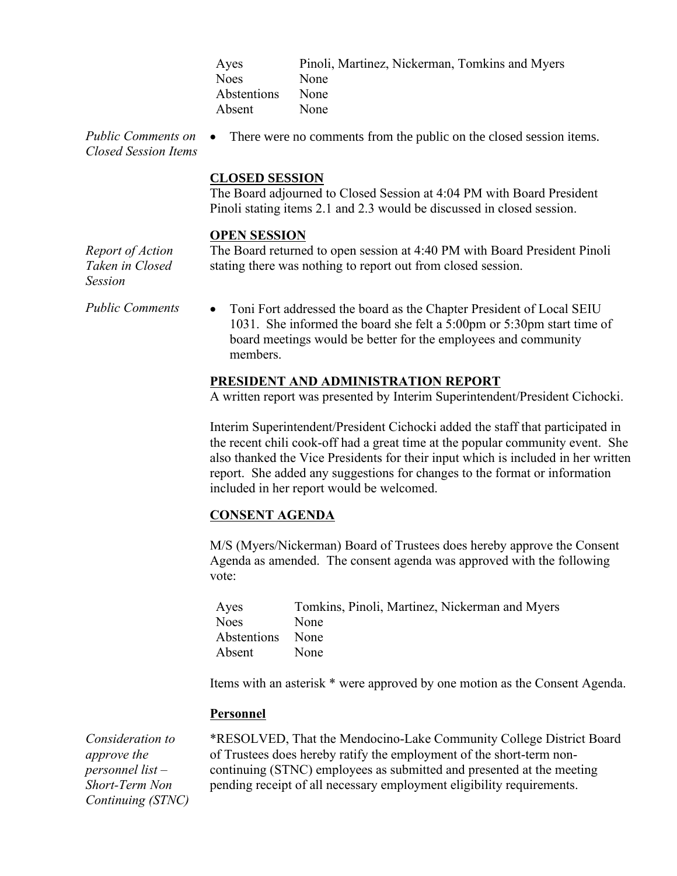| Pinoli, Martinez, Nickerman, Tomkins and Myers |
|------------------------------------------------|
| None                                           |
| None                                           |
| None                                           |
|                                                |

*Public Comments on Closed Session Items*

# **CLOSED SESSION**

The Board adjourned to Closed Session at 4:04 PM with Board President Pinoli stating items 2.1 and 2.3 would be discussed in closed session.

• There were no comments from the public on the closed session items.

#### **OPEN SESSION**

The Board returned to open session at 4:40 PM with Board President Pinoli stating there was nothing to report out from closed session.

*Report of Action Taken in Closed Session*

*Public Comments* • Toni Fort addressed the board as the Chapter President of Local SEIU 1031. She informed the board she felt a 5:00pm or 5:30pm start time of board meetings would be better for the employees and community members.

#### **PRESIDENT AND ADMINISTRATION REPORT**

A written report was presented by Interim Superintendent/President Cichocki.

Interim Superintendent/President Cichocki added the staff that participated in the recent chili cook-off had a great time at the popular community event. She also thanked the Vice Presidents for their input which is included in her written report. She added any suggestions for changes to the format or information included in her report would be welcomed.

#### **CONSENT AGENDA**

M/S (Myers/Nickerman) Board of Trustees does hereby approve the Consent Agenda as amended. The consent agenda was approved with the following vote:

| Ayes             | Tomkins, Pinoli, Martinez, Nickerman and Myers |
|------------------|------------------------------------------------|
| Noes             | None                                           |
| Abstentions None |                                                |
| Absent           | None                                           |

Items with an asterisk \* were approved by one motion as the Consent Agenda.

### **Personnel**

*Consideration to approve the personnel list – Short-Term Non Continuing (STNC)*  \*RESOLVED, That the Mendocino-Lake Community College District Board of Trustees does hereby ratify the employment of the short-term noncontinuing (STNC) employees as submitted and presented at the meeting pending receipt of all necessary employment eligibility requirements.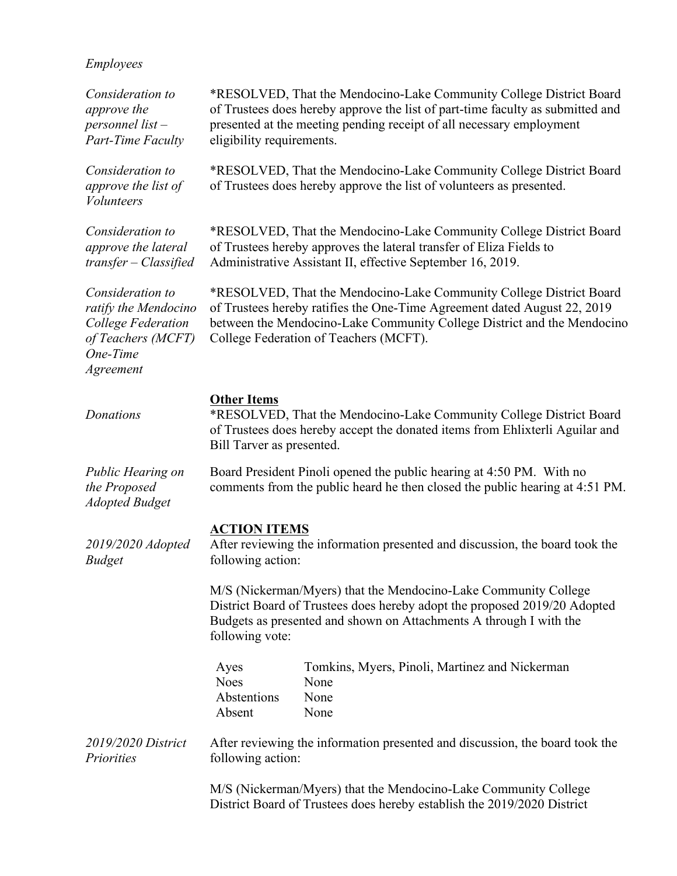| Employees |
|-----------|
|           |

| Consideration to<br>approve the<br>personnel list-<br><b>Part-Time Faculty</b>                                | eligibility requirements.                       | *RESOLVED, That the Mendocino-Lake Community College District Board<br>of Trustees does hereby approve the list of part-time faculty as submitted and<br>presented at the meeting pending receipt of all necessary employment                                        |
|---------------------------------------------------------------------------------------------------------------|-------------------------------------------------|----------------------------------------------------------------------------------------------------------------------------------------------------------------------------------------------------------------------------------------------------------------------|
| Consideration to<br>approve the list of<br><b>Volunteers</b>                                                  |                                                 | *RESOLVED, That the Mendocino-Lake Community College District Board<br>of Trustees does hereby approve the list of volunteers as presented.                                                                                                                          |
| Consideration to<br>approve the lateral<br>transfer - Classified                                              |                                                 | *RESOLVED, That the Mendocino-Lake Community College District Board<br>of Trustees hereby approves the lateral transfer of Eliza Fields to<br>Administrative Assistant II, effective September 16, 2019.                                                             |
| Consideration to<br>ratify the Mendocino<br>College Federation<br>of Teachers (MCFT)<br>One-Time<br>Agreement |                                                 | *RESOLVED, That the Mendocino-Lake Community College District Board<br>of Trustees hereby ratifies the One-Time Agreement dated August 22, 2019<br>between the Mendocino-Lake Community College District and the Mendocino<br>College Federation of Teachers (MCFT). |
| Donations                                                                                                     | <b>Other Items</b><br>Bill Tarver as presented. | *RESOLVED, That the Mendocino-Lake Community College District Board<br>of Trustees does hereby accept the donated items from Ehlixterli Aguilar and                                                                                                                  |
| Public Hearing on<br>the Proposed<br><b>Adopted Budget</b>                                                    |                                                 | Board President Pinoli opened the public hearing at 4:50 PM. With no<br>comments from the public heard he then closed the public hearing at 4:51 PM.                                                                                                                 |
| 2019/2020 Adopted<br><b>Budget</b>                                                                            | <b>ACTION ITEMS</b><br>following action:        | After reviewing the information presented and discussion, the board took the                                                                                                                                                                                         |
|                                                                                                               | following vote:                                 | M/S (Nickerman/Myers) that the Mendocino-Lake Community College<br>District Board of Trustees does hereby adopt the proposed 2019/20 Adopted<br>Budgets as presented and shown on Attachments A through I with the                                                   |
|                                                                                                               | Ayes<br><b>Noes</b><br>Abstentions<br>Absent    | Tomkins, Myers, Pinoli, Martinez and Nickerman<br>None<br>None<br>None                                                                                                                                                                                               |
| 2019/2020 District<br>Priorities                                                                              | following action:                               | After reviewing the information presented and discussion, the board took the                                                                                                                                                                                         |
|                                                                                                               |                                                 | M/S (Nickerman/Myers) that the Mendocino-Lake Community College<br>District Board of Trustees does hereby establish the 2019/2020 District                                                                                                                           |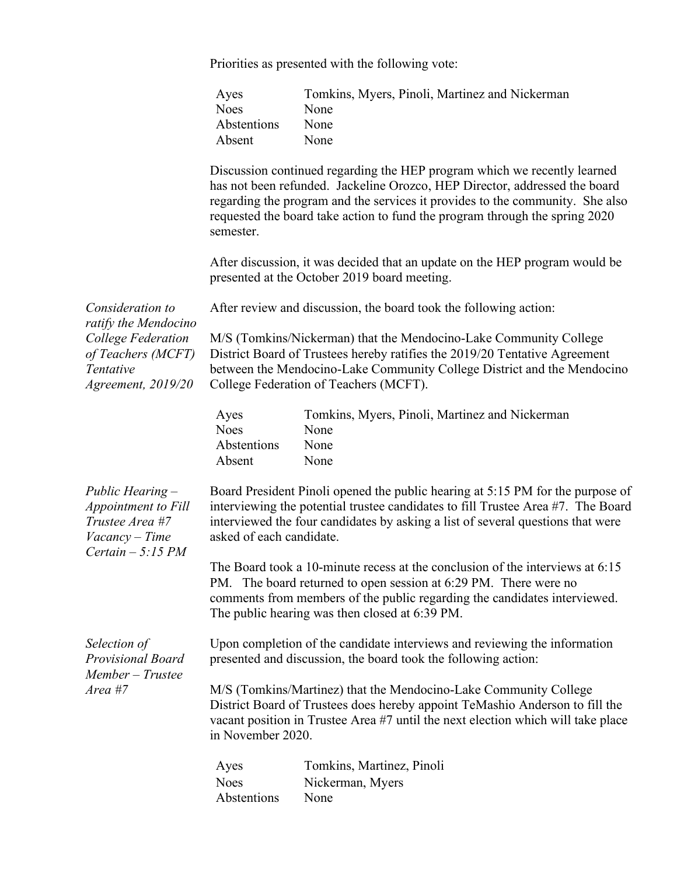Priorities as presented with the following vote:

| Ayes        | Tomkins, Myers, Pinoli, Martinez and Nickerman |
|-------------|------------------------------------------------|
| <b>Noes</b> | None                                           |
| Abstentions | <b>None</b>                                    |
| Absent      | None                                           |

Discussion continued regarding the HEP program which we recently learned has not been refunded. Jackeline Orozco, HEP Director, addressed the board regarding the program and the services it provides to the community. She also requested the board take action to fund the program through the spring 2020 semester.

After discussion, it was decided that an update on the HEP program would be presented at the October 2019 board meeting.

|                                                                                                     |                                                                                                                                                                                                                                                                                   | After discussion, it was decided that an update on the HEP program would be<br>presented at the October 2019 board meeting.                                                                                                                                                      |  |
|-----------------------------------------------------------------------------------------------------|-----------------------------------------------------------------------------------------------------------------------------------------------------------------------------------------------------------------------------------------------------------------------------------|----------------------------------------------------------------------------------------------------------------------------------------------------------------------------------------------------------------------------------------------------------------------------------|--|
| Consideration to                                                                                    | After review and discussion, the board took the following action:                                                                                                                                                                                                                 |                                                                                                                                                                                                                                                                                  |  |
| ratify the Mendocino<br>College Federation<br>of Teachers (MCFT)<br>Tentative<br>Agreement, 2019/20 |                                                                                                                                                                                                                                                                                   | M/S (Tomkins/Nickerman) that the Mendocino-Lake Community College<br>District Board of Trustees hereby ratifies the 2019/20 Tentative Agreement<br>between the Mendocino-Lake Community College District and the Mendocino<br>College Federation of Teachers (MCFT).             |  |
|                                                                                                     | Ayes<br><b>Noes</b><br>Abstentions<br>Absent                                                                                                                                                                                                                                      | Tomkins, Myers, Pinoli, Martinez and Nickerman<br>None<br>None<br>None                                                                                                                                                                                                           |  |
| Public Hearing -<br>Appointment to Fill<br>Trustee Area #7<br>Vacancy - Time<br>Certain $-5:15 PM$  | Board President Pinoli opened the public hearing at 5:15 PM for the purpose of<br>interviewing the potential trustee candidates to fill Trustee Area #7. The Board<br>interviewed the four candidates by asking a list of several questions that were<br>asked of each candidate. |                                                                                                                                                                                                                                                                                  |  |
|                                                                                                     |                                                                                                                                                                                                                                                                                   | The Board took a 10-minute recess at the conclusion of the interviews at 6:15<br>PM. The board returned to open session at 6:29 PM. There were no<br>comments from members of the public regarding the candidates interviewed.<br>The public hearing was then closed at 6:39 PM. |  |
| Selection of<br><b>Provisional Board</b><br>Member - Trustee<br>Area #7                             | Upon completion of the candidate interviews and reviewing the information<br>presented and discussion, the board took the following action:                                                                                                                                       |                                                                                                                                                                                                                                                                                  |  |
|                                                                                                     | M/S (Tomkins/Martinez) that the Mendocino-Lake Community College<br>District Board of Trustees does hereby appoint TeMashio Anderson to fill the<br>vacant position in Trustee Area #7 until the next election which will take place<br>in November 2020.                         |                                                                                                                                                                                                                                                                                  |  |
|                                                                                                     | Ayes                                                                                                                                                                                                                                                                              | Tomkins, Martinez, Pinoli                                                                                                                                                                                                                                                        |  |
|                                                                                                     | <b>Noes</b><br>Abstentions                                                                                                                                                                                                                                                        | Nickerman, Myers<br>None                                                                                                                                                                                                                                                         |  |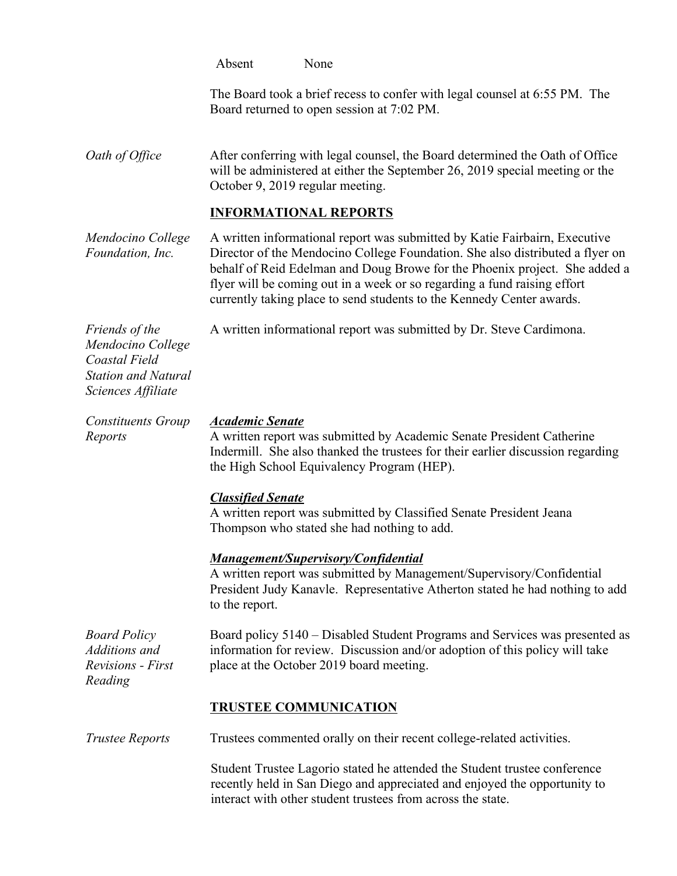| Absent | None |
|--------|------|
|        |      |

The Board took a brief recess to confer with legal counsel at 6:55 PM. The Board returned to open session at 7:02 PM.

*Oath of Office* After conferring with legal counsel, the Board determined the Oath of Office will be administered at either the September 26, 2019 special meeting or the October 9, 2019 regular meeting.

# **INFORMATIONAL REPORTS**

*Mendocino College Foundation, Inc.* A written informational report was submitted by Katie Fairbairn, Executive Director of the Mendocino College Foundation. She also distributed a flyer on behalf of Reid Edelman and Doug Browe for the Phoenix project. She added a flyer will be coming out in a week or so regarding a fund raising effort currently taking place to send students to the Kennedy Center awards.

*Friends of the Mendocino College Coastal Field Station and Natural Sciences Affiliate*

*Reports*

A written informational report was submitted by Dr. Steve Cardimona.

#### *Constituents Group Academic Senate*

A written report was submitted by Academic Senate President Catherine Indermill. She also thanked the trustees for their earlier discussion regarding the High School Equivalency Program (HEP).

#### *Classified Senate*

A written report was submitted by Classified Senate President Jeana Thompson who stated she had nothing to add.

## *Management/Supervisory/Confidential*

A written report was submitted by Management/Supervisory/Confidential President Judy Kanavle. Representative Atherton stated he had nothing to add to the report.

*Board Policy Additions and Revisions - First Reading* Board policy 5140 – Disabled Student Programs and Services was presented as information for review. Discussion and/or adoption of this policy will take place at the October 2019 board meeting.

## **TRUSTEE COMMUNICATION**

*Trustee Reports* Trustees commented orally on their recent college-related activities.

Student Trustee Lagorio stated he attended the Student trustee conference recently held in San Diego and appreciated and enjoyed the opportunity to interact with other student trustees from across the state.